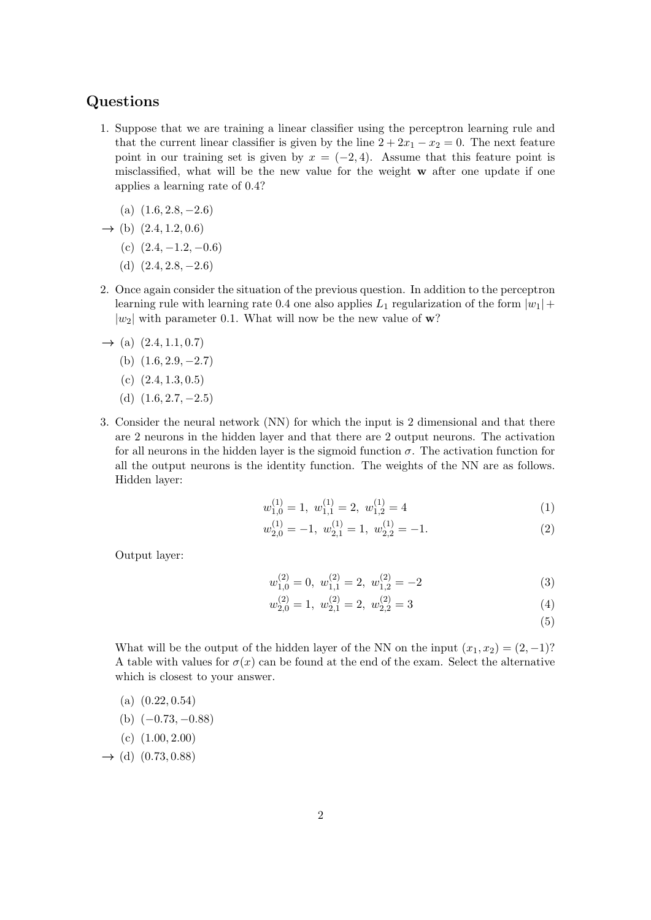## Questions

- 1. Suppose that we are training a linear classifier using the perceptron learning rule and that the current linear classifier is given by the line  $2 + 2x_1 - x_2 = 0$ . The next feature point in our training set is given by  $x = (-2, 4)$ . Assume that this feature point is misclassified, what will be the new value for the weight w after one update if one applies a learning rate of 0.4?
	- (a)  $(1.6, 2.8, -2.6)$
- $\rightarrow$  (b)  $(2.4, 1.2, 0.6)$ 
	- (c)  $(2.4, -1.2, -0.6)$
	- (d)  $(2.4, 2.8, -2.6)$
- 2. Once again consider the situation of the previous question. In addition to the perceptron learning rule with learning rate 0.4 one also applies  $L_1$  regularization of the form  $|w_1| +$  $|w_2|$  with parameter 0.1. What will now be the new value of w?
- $\rightarrow$  (a)  $(2.4, 1.1, 0.7)$ 
	- (b)  $(1.6, 2.9, -2.7)$
	- (c)  $(2.4, 1.3, 0.5)$
	- (d)  $(1.6, 2.7, -2.5)$
- 3. Consider the neural network (NN) for which the input is 2 dimensional and that there are 2 neurons in the hidden layer and that there are 2 output neurons. The activation for all neurons in the hidden layer is the sigmoid function  $\sigma$ . The activation function for all the output neurons is the identity function. The weights of the NN are as follows. Hidden layer:

$$
w_{1,0}^{(1)} = 1, \ w_{1,1}^{(1)} = 2, \ w_{1,2}^{(1)} = 4 \tag{1}
$$

$$
w_{2,0}^{(1)} = -1, \ w_{2,1}^{(1)} = 1, \ w_{2,2}^{(1)} = -1. \tag{2}
$$

Output layer:

$$
w_{1,0}^{(2)} = 0, \ w_{1,1}^{(2)} = 2, \ w_{1,2}^{(2)} = -2 \tag{3}
$$

$$
w_{2,0}^{(2)} = 1, \ w_{2,1}^{(2)} = 2, \ w_{2,2}^{(2)} = 3 \tag{4}
$$

(5)

What will be the output of the hidden layer of the NN on the input  $(x_1, x_2) = (2, -1)$ ? A table with values for  $\sigma(x)$  can be found at the end of the exam. Select the alternative which is closest to your answer.

- (a)  $(0.22, 0.54)$
- (b)  $(-0.73, -0.88)$
- $(c)$   $(1.00, 2.00)$

 $\rightarrow$  (d) (0.73, 0.88)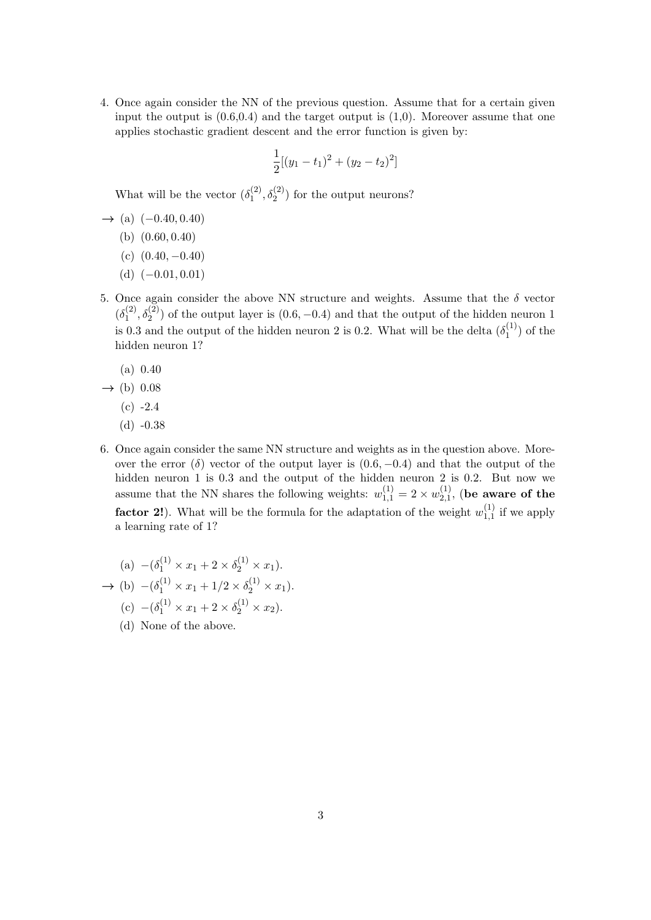4. Once again consider the NN of the previous question. Assume that for a certain given input the output is  $(0.6, 0.4)$  and the target output is  $(1,0)$ . Moreover assume that one applies stochastic gradient descent and the error function is given by:

$$
\frac{1}{2}[(y_1 - t_1)^2 + (y_2 - t_2)^2]
$$

What will be the vector  $(\delta_1^{(2)}, \delta_2^{(2)})$  for the output neurons?

- $\rightarrow$  (a)  $(-0.40, 0.40)$ 
	- (b) (0.60, 0.40)
	- (c)  $(0.40, -0.40)$
	- (d)  $(-0.01, 0.01)$
- 5. Once again consider the above NN structure and weights. Assume that the  $\delta$  vector  $(\delta_1^{(2)}, \delta_2^{(2)})$  of the output layer is  $(0.6, -0.4)$  and that the output of the hidden neuron 1 is 0.3 and the output of the hidden neuron 2 is 0.2. What will be the delta  $(\delta_1^{(1)})$  of the hidden neuron 1?
	- (a) 0.40
- $\rightarrow$  (b) 0.08
	- $(c) -2.4$
	- $(d) -0.38$
- 6. Once again consider the same NN structure and weights as in the question above. Moreover the error (δ) vector of the output layer is  $(0.6, -0.4)$  and that the output of the hidden neuron 1 is 0.3 and the output of the hidden neuron 2 is 0.2. But now we assume that the NN shares the following weights:  $w_{1,1}^{(1)} = 2 \times w_{2,1}^{(1)}$ , (be aware of the **factor 2!**). What will be the formula for the adaptation of the weight  $w_{1,1}^{(1)}$  if we apply a learning rate of 1?

(a) 
$$
-(\delta_1^{(1)} \times x_1 + 2 \times \delta_2^{(1)} \times x_1).
$$
  
\n $\rightarrow$  (b)  $-(\delta_1^{(1)} \times x_1 + 1/2 \times \delta_2^{(1)} \times x_1).$   
\n(c)  $-(\delta_1^{(1)} \times x_1 + 2 \times \delta_2^{(1)} \times x_2).$ 

(d) None of the above.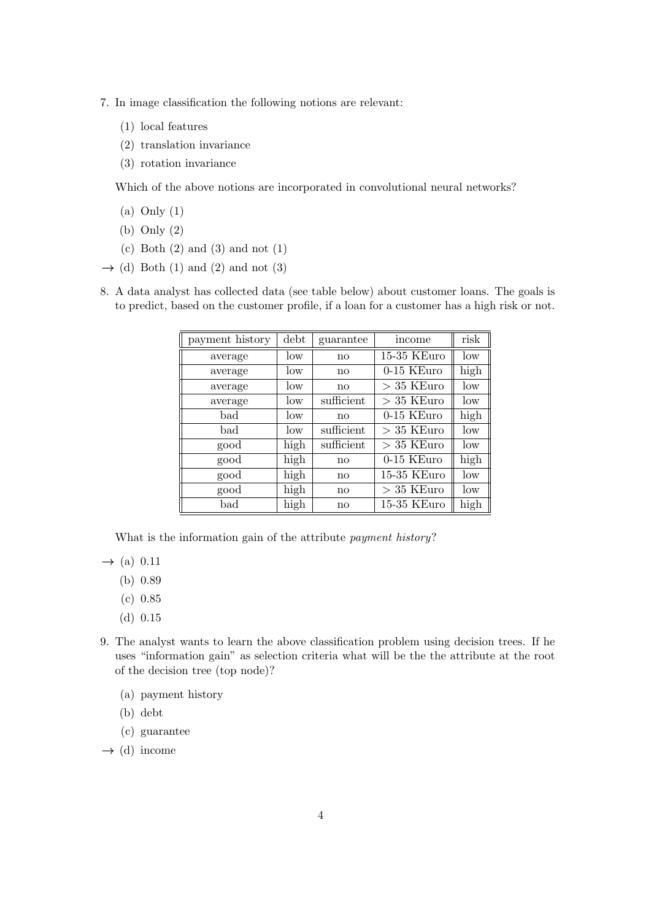- 7. In image classification the following notions are relevant:
	- (1) local features
	- (2) translation invariance
	- (3) rotation invariance

Which of the above notions are incorporated in convolutional neural networks?

- (a) Only (1)
- (b) Only (2)
- (c) Both  $(2)$  and  $(3)$  and not  $(1)$
- $\rightarrow$  (d) Both (1) and (2) and not (3)
- 8. A data analyst has collected data (see table below) about customer loans. The goals is to predict, based on the customer profile, if a loan for a customer has a high risk or not.

| payment history | debt | guarantee    | income       | risk |
|-----------------|------|--------------|--------------|------|
| average         | low  | $\mathbf{n}$ | 15-35 KEuro  | low  |
| average         | low  | $\mathbf{n}$ | $0-15$ KEuro | high |
| average         | low  | $\mathbf{n}$ | $>35$ KEuro  | low  |
| average         | low  | sufficient   | $>35$ KEuro  | low  |
| bad             | low  | $\mathbf{n}$ | 0-15 KEuro   | high |
| bad             | low  | sufficient   | $>35$ KEuro  | low  |
| good            | high | sufficient   | $> 35$ KEuro | low  |
| good            | high | $\mathbf{n}$ | 0-15 KEuro   | high |
| good            | high | $\mathbf{n}$ | 15-35 KEuro  | low  |
| good            | high | $\mathbf{n}$ | $>35$ KEuro  | low  |
| bad             | high | no           | 15-35 KEuro  | high |

What is the information gain of the attribute payment history?

 $\rightarrow$  (a) 0.11

- (b) 0.89
- (c) 0.85
- (d) 0.15
- 9. The analyst wants to learn the above classification problem using decision trees. If he uses "information gain" as selection criteria what will be the the attribute at the root of the decision tree (top node)?
	- (a) payment history
	- (b) debt
	- (c) guarantee

 $\rightarrow$  (d) income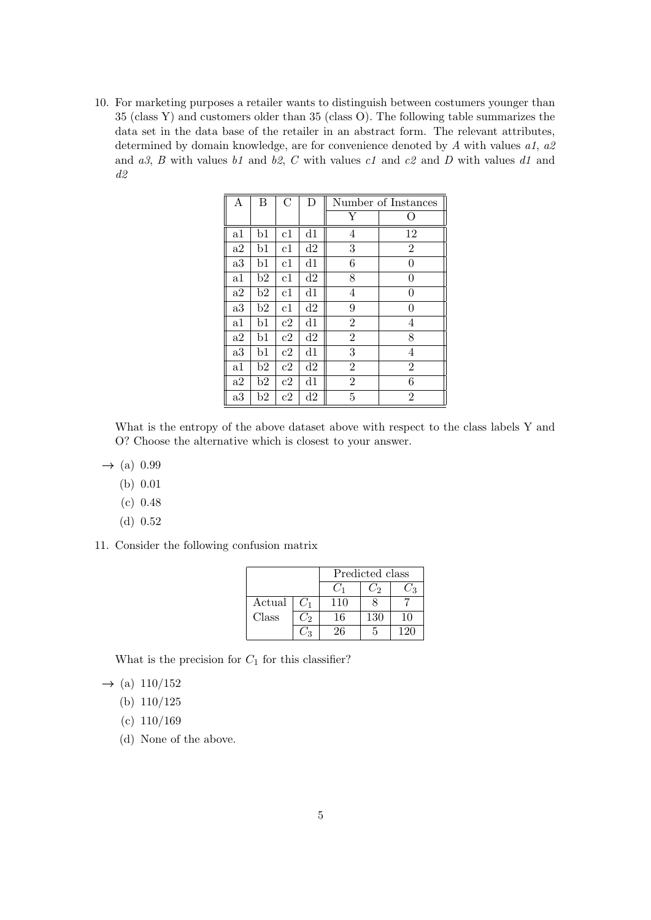10. For marketing purposes a retailer wants to distinguish between costumers younger than 35 (class Y) and customers older than 35 (class O). The following table summarizes the data set in the data base of the retailer in an abstract form. The relevant attributes, determined by domain knowledge, are for convenience denoted by A with values  $a_1$ ,  $a_2$ and  $a3$ , B with values b1 and b2, C with values c1 and c2 and D with values d1 and  $d2$ 

| $\boldsymbol{A}$ | B  | $\overline{C}$ | D              | Number of Instances |                |
|------------------|----|----------------|----------------|---------------------|----------------|
|                  |    |                |                |                     | ( )            |
| a1               | b1 | c1             | d1             | 4                   | 12             |
| a2               | b1 | c1             | d2             | 3                   | $\overline{2}$ |
| a3               | b1 | c1             | $\mathrm{d} 1$ | 6                   | $\theta$       |
| a1               | b2 | c1             | d2             | 8                   | 0              |
| a2               | b2 | c1             | d1             | 4                   | $\theta$       |
| a3               | b2 | c1             | $\mathrm{d}2$  | 9                   | $\theta$       |
| $_{\rm a1}$      | b1 | c2             | d1             | $\overline{2}$      | 4              |
| a2               | b1 | c2             | d2             | $\overline{2}$      | 8              |
| a3               | b1 | c2             | d1             | 3                   | $\overline{4}$ |
| $_{\rm a1}$      | b2 | c2             | d2             | $\overline{2}$      | $\overline{2}$ |
| a2               | b2 | c2             | d1             | $\overline{2}$      | 6              |
| a3               | b2 | c2             | d2             | $\overline{5}$      | $\overline{2}$ |

What is the entropy of the above dataset above with respect to the class labels Y and O? Choose the alternative which is closest to your answer.

- $\rightarrow$  (a) 0.99
	- (b) 0.01
	- (c) 0.48
	- (d) 0.52
- 11. Consider the following confusion matrix

|        |       |     | Predicted class |    |  |
|--------|-------|-----|-----------------|----|--|
|        |       |     | С'n             | ŻЗ |  |
| Actual | $C_1$ | 110 |                 |    |  |
| Class  | ر ز   | 16  | 130             | 10 |  |
|        |       | 26  | h               |    |  |

What is the precision for  $C_1$  for this classifier?

 $\rightarrow$  (a) 110/152

- (b) 110/125
- $(c) 110/169$
- (d) None of the above.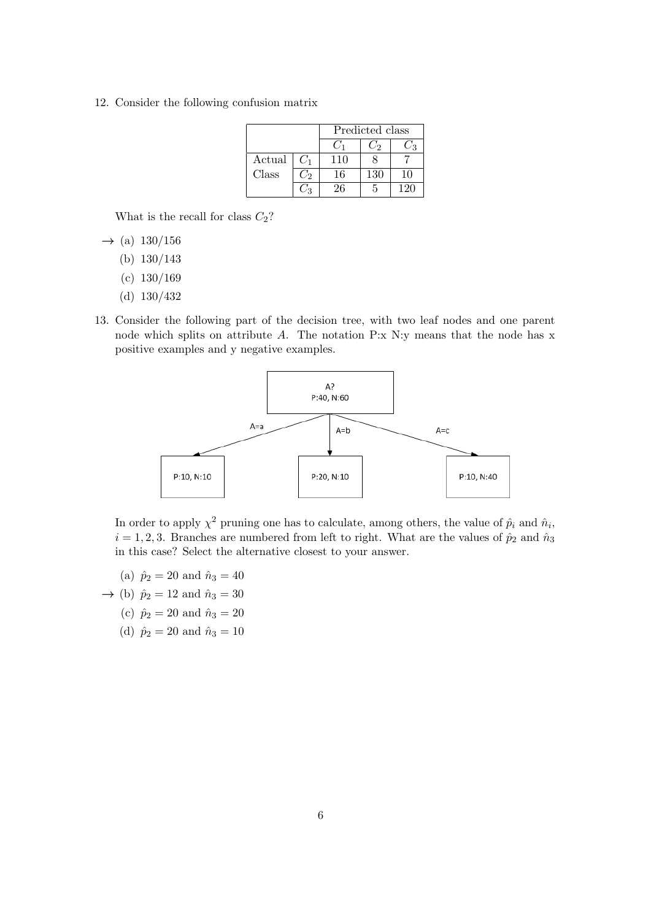12. Consider the following confusion matrix

|        |         | Predicted class |     |     |
|--------|---------|-----------------|-----|-----|
|        |         |                 | С'n | ∕ વ |
| Actual | $C_1$   | 110             |     |     |
| Class  | $C_{2}$ | 16              | 130 | 10  |
|        |         | 26              | 5   | 120 |

What is the recall for class  $C_2$ ?

- $\rightarrow$  (a) 130/156
	- (b) 130/143
	- $(c) 130/169$
	- (d) 130/432
- 13. Consider the following part of the decision tree, with two leaf nodes and one parent node which splits on attribute A. The notation P:x N:y means that the node has x positive examples and y negative examples.



In order to apply  $\chi^2$  pruning one has to calculate, among others, the value of  $\hat{p}_i$  and  $\hat{n}_i$ ,  $i = 1, 2, 3$ . Branches are numbered from left to right. What are the values of  $\hat{p}_2$  and  $\hat{n}_3$ in this case? Select the alternative closest to your answer.

- (a)  $\hat{p}_2 = 20$  and  $\hat{n}_3 = 40$
- $\rightarrow$  (b)  $\hat{p}_2 = 12$  and  $\hat{n}_3 = 30$ 
	- (c)  $\hat{p}_2 = 20$  and  $\hat{n}_3 = 20$
	- (d)  $\hat{p}_2 = 20$  and  $\hat{n}_3 = 10$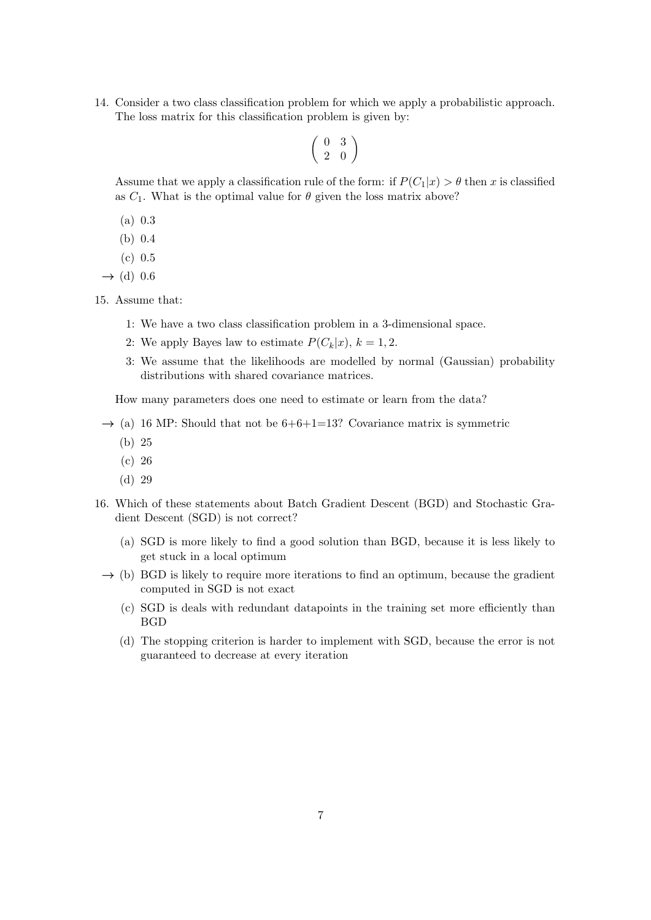14. Consider a two class classification problem for which we apply a probabilistic approach. The loss matrix for this classification problem is given by:

$$
\left(\begin{array}{cc} 0 & 3 \\ 2 & 0 \end{array}\right)
$$

Assume that we apply a classification rule of the form: if  $P(C_1|x) > \theta$  then x is classified as  $C_1$ . What is the optimal value for  $\theta$  given the loss matrix above?

- (a) 0.3
- (b) 0.4
- (c) 0.5

 $\rightarrow$  (d) 0.6

15. Assume that:

- 1: We have a two class classification problem in a 3-dimensional space.
- 2: We apply Bayes law to estimate  $P(C_k|x)$ ,  $k = 1, 2$ .
- 3: We assume that the likelihoods are modelled by normal (Gaussian) probability distributions with shared covariance matrices.

How many parameters does one need to estimate or learn from the data?

- $\rightarrow$  (a) 16 MP: Should that not be 6+6+1=13? Covariance matrix is symmetric
	- (b) 25
	- (c) 26
	- (d) 29
- 16. Which of these statements about Batch Gradient Descent (BGD) and Stochastic Gradient Descent (SGD) is not correct?
	- (a) SGD is more likely to find a good solution than BGD, because it is less likely to get stuck in a local optimum
	- $\rightarrow$  (b) BGD is likely to require more iterations to find an optimum, because the gradient computed in SGD is not exact
		- (c) SGD is deals with redundant datapoints in the training set more efficiently than BGD
		- (d) The stopping criterion is harder to implement with SGD, because the error is not guaranteed to decrease at every iteration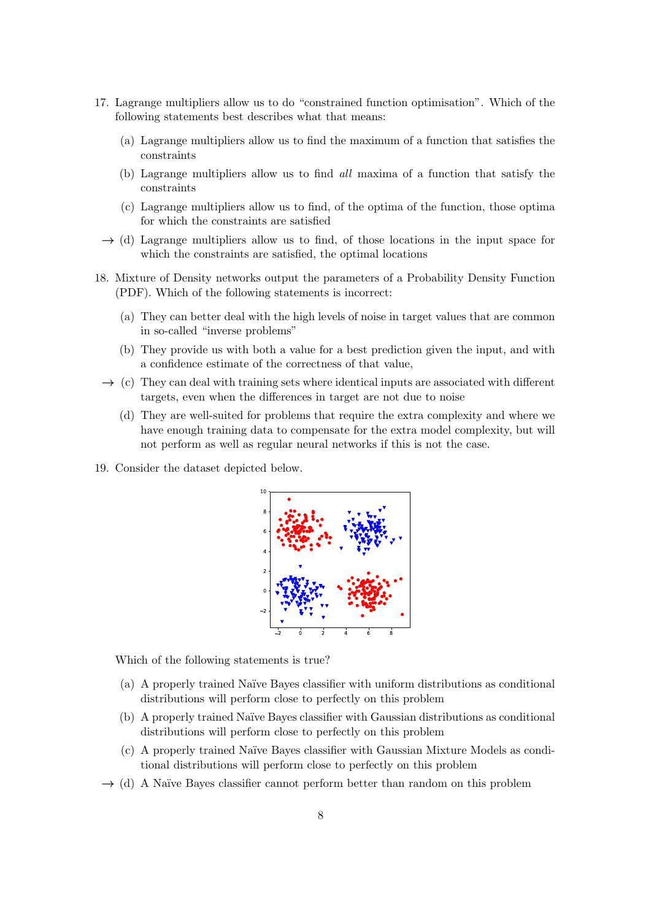- 17. Lagrange multipliers allow us to do "constrained function optimisation". Which of the following statements best describes what that means:
	- (a) Lagrange multipliers allow us to find the maximum of a function that satisfies the constraints
	- (b) Lagrange multipliers allow us to find all maxima of a function that satisfy the constraints
	- (c) Lagrange multipliers allow us to find, of the optima of the function, those optima for which the constraints are satisfied
	- $\rightarrow$  (d) Lagrange multipliers allow us to find, of those locations in the input space for which the constraints are satisfied, the optimal locations
- 18. Mixture of Density networks output the parameters of a Probability Density Function (PDF). Which of the following statements is incorrect:
	- (a) They can better deal with the high levels of noise in target values that are common in so-called "inverse problems"
	- (b) They provide us with both a value for a best prediction given the input, and with a confidence estimate of the correctness of that value,
	- $\rightarrow$  (c) They can deal with training sets where identical inputs are associated with different targets, even when the differences in target are not due to noise
		- (d) They are well-suited for problems that require the extra complexity and where we have enough training data to compensate for the extra model complexity, but will not perform as well as regular neural networks if this is not the case.
- 19. Consider the dataset depicted below.



Which of the following statements is true?

- (a) A properly trained Na¨ıve Bayes classifier with uniform distributions as conditional distributions will perform close to perfectly on this problem
- (b) A properly trained Na¨ıve Bayes classifier with Gaussian distributions as conditional distributions will perform close to perfectly on this problem
- (c) A properly trained Na¨ıve Bayes classifier with Gaussian Mixture Models as conditional distributions will perform close to perfectly on this problem
- $\rightarrow$  (d) A Naïve Bayes classifier cannot perform better than random on this problem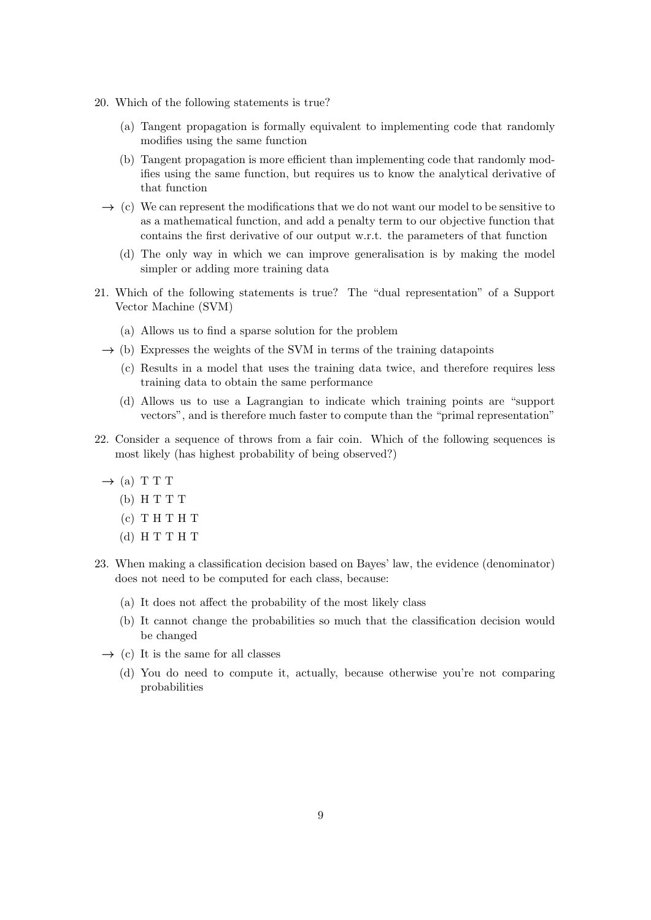- 20. Which of the following statements is true?
	- (a) Tangent propagation is formally equivalent to implementing code that randomly modifies using the same function
	- (b) Tangent propagation is more efficient than implementing code that randomly modifies using the same function, but requires us to know the analytical derivative of that function
	- $\rightarrow$  (c) We can represent the modifications that we do not want our model to be sensitive to as a mathematical function, and add a penalty term to our objective function that contains the first derivative of our output w.r.t. the parameters of that function
		- (d) The only way in which we can improve generalisation is by making the model simpler or adding more training data
- 21. Which of the following statements is true? The "dual representation" of a Support Vector Machine (SVM)
	- (a) Allows us to find a sparse solution for the problem
	- $\rightarrow$  (b) Expresses the weights of the SVM in terms of the training datapoints
		- (c) Results in a model that uses the training data twice, and therefore requires less training data to obtain the same performance
		- (d) Allows us to use a Lagrangian to indicate which training points are "support vectors", and is therefore much faster to compute than the "primal representation"
- 22. Consider a sequence of throws from a fair coin. Which of the following sequences is most likely (has highest probability of being observed?)
	- $\rightarrow$  (a) T T T
		- (b) H T T T
		- $(c)$  T H T H T
		- (d) H T T H T
- 23. When making a classification decision based on Bayes' law, the evidence (denominator) does not need to be computed for each class, because:
	- (a) It does not affect the probability of the most likely class
	- (b) It cannot change the probabilities so much that the classification decision would be changed
	- $\rightarrow$  (c) It is the same for all classes
		- (d) You do need to compute it, actually, because otherwise you're not comparing probabilities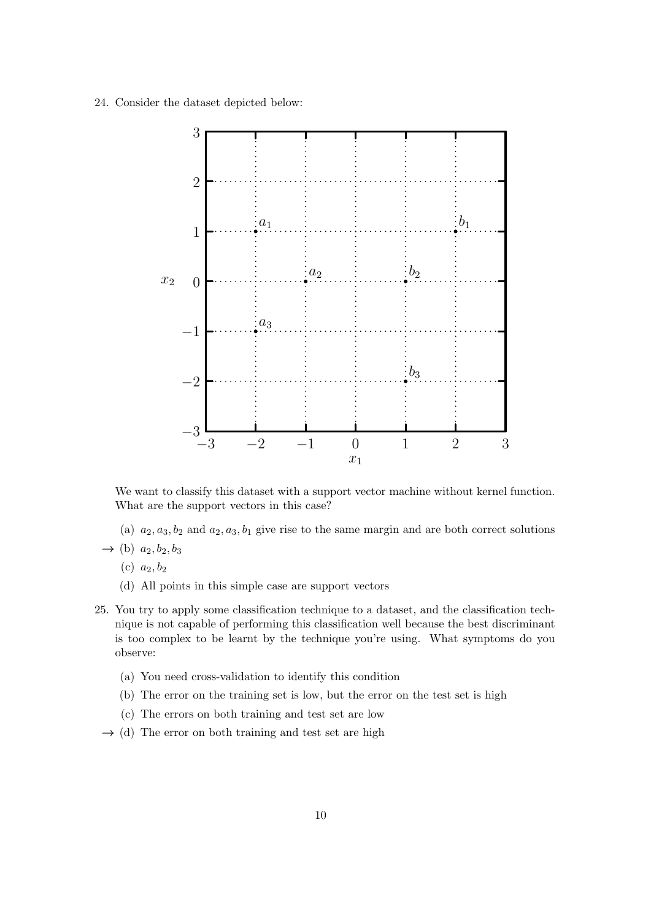24. Consider the dataset depicted below:



We want to classify this dataset with a support vector machine without kernel function. What are the support vectors in this case?

- (a)  $a_2, a_3, b_2$  and  $a_2, a_3, b_1$  give rise to the same margin and are both correct solutions
- $\rightarrow$  (b)  $a_2, b_2, b_3$ 
	- (c)  $a_2, b_2$
	- (d) All points in this simple case are support vectors
- 25. You try to apply some classification technique to a dataset, and the classification technique is not capable of performing this classification well because the best discriminant is too complex to be learnt by the technique you're using. What symptoms do you observe:
	- (a) You need cross-validation to identify this condition
	- (b) The error on the training set is low, but the error on the test set is high
	- (c) The errors on both training and test set are low
	- $\rightarrow$  (d) The error on both training and test set are high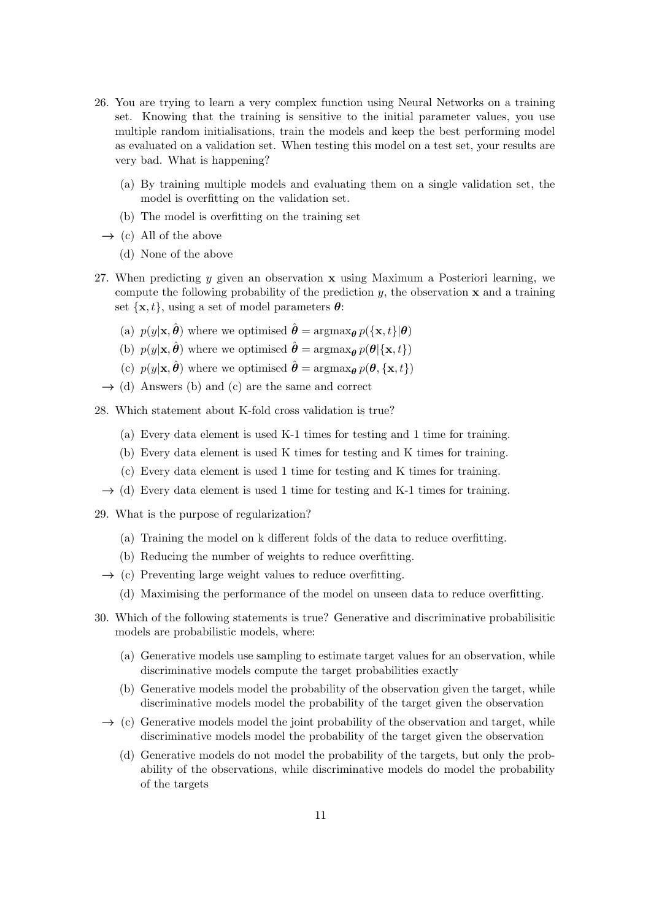- 26. You are trying to learn a very complex function using Neural Networks on a training set. Knowing that the training is sensitive to the initial parameter values, you use multiple random initialisations, train the models and keep the best performing model as evaluated on a validation set. When testing this model on a test set, your results are very bad. What is happening?
	- (a) By training multiple models and evaluating them on a single validation set, the model is overfitting on the validation set.
	- (b) The model is overfitting on the training set
	- $\rightarrow$  (c) All of the above
		- (d) None of the above
- 27. When predicting y given an observation  $x$  using Maximum a Posteriori learning, we compute the following probability of the prediction  $y$ , the observation  $x$  and a training set  $\{\mathbf x, t\}$ , using a set of model parameters  $\boldsymbol{\theta}$ :
	- (a)  $p(y|\mathbf{x}, \hat{\boldsymbol{\theta}})$  where we optimised  $\hat{\boldsymbol{\theta}} = \arg\max_{\boldsymbol{\theta}} p(\{\mathbf{x}, t\} | \boldsymbol{\theta})$
	- (b)  $p(y|\mathbf{x}, \hat{\boldsymbol{\theta}})$  where we optimised  $\hat{\boldsymbol{\theta}} = \arg\max_{\boldsymbol{\theta}} p(\boldsymbol{\theta} | {\{\mathbf{x}, t\}})$
	- (c)  $p(y|\mathbf{x}, \hat{\boldsymbol{\theta}})$  where we optimised  $\hat{\boldsymbol{\theta}} = \arg\max_{\boldsymbol{\theta}} p(\boldsymbol{\theta}, \{\mathbf{x}, t\})$
	- $\rightarrow$  (d) Answers (b) and (c) are the same and correct

28. Which statement about K-fold cross validation is true?

- (a) Every data element is used K-1 times for testing and 1 time for training.
- (b) Every data element is used K times for testing and K times for training.
- (c) Every data element is used 1 time for testing and K times for training.
- $\rightarrow$  (d) Every data element is used 1 time for testing and K-1 times for training.
- 29. What is the purpose of regularization?
	- (a) Training the model on k different folds of the data to reduce overfitting.
	- (b) Reducing the number of weights to reduce overfitting.
	- $\rightarrow$  (c) Preventing large weight values to reduce overfitting.
		- (d) Maximising the performance of the model on unseen data to reduce overfitting.
- 30. Which of the following statements is true? Generative and discriminative probabilisitic models are probabilistic models, where:
	- (a) Generative models use sampling to estimate target values for an observation, while discriminative models compute the target probabilities exactly
	- (b) Generative models model the probability of the observation given the target, while discriminative models model the probability of the target given the observation
	- $\rightarrow$  (c) Generative models model the joint probability of the observation and target, while discriminative models model the probability of the target given the observation
		- (d) Generative models do not model the probability of the targets, but only the probability of the observations, while discriminative models do model the probability of the targets